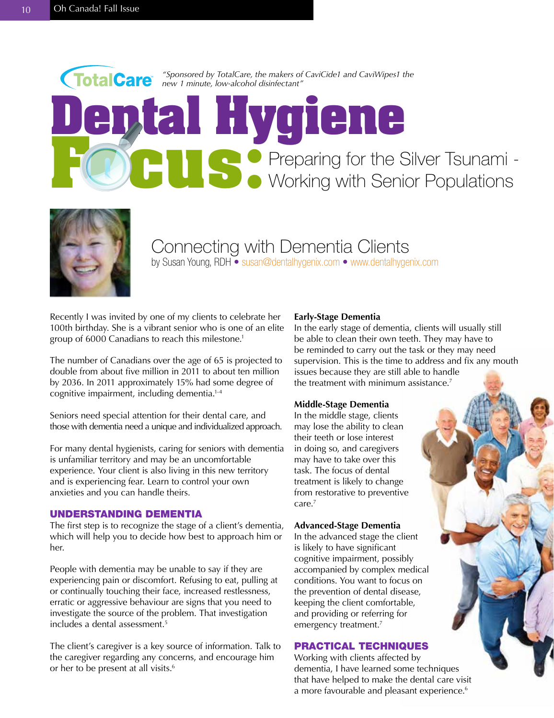



Connecting with Dementia Clients by Susan Young, RDH • susan@dentalhygenix.com • www.dentalhygenix.com

Recently I was invited by one of my clients to celebrate her 100th birthday. She is a vibrant senior who is one of an elite group of 6000 Canadians to reach this milestone.<sup>1</sup>

The number of Canadians over the age of 65 is projected to double from about five million in 2011 to about ten million by 2036. In 2011 approximately 15% had some degree of cognitive impairment, including dementia.<sup>1-4</sup>

Seniors need special attention for their dental care, and those with dementia need a unique and individualized approach.

For many dental hygienists, caring for seniors with dementia is unfamiliar territory and may be an uncomfortable experience. Your client is also living in this new territory and is experiencing fear. Learn to control your own anxieties and you can handle theirs.

### UNDERSTANDING DEMENTIA

The first step is to recognize the stage of a client's dementia, which will help you to decide how best to approach him or her.

People with dementia may be unable to say if they are experiencing pain or discomfort. Refusing to eat, pulling at or continually touching their face, increased restlessness, erratic or aggressive behaviour are signs that you need to investigate the source of the problem. That investigation includes a dental assessment.<sup>5</sup>

The client's caregiver is a key source of information. Talk to the caregiver regarding any concerns, and encourage him or her to be present at all visits.<sup>6</sup>

#### **Early-Stage Dementia**

In the early stage of dementia, clients will usually still be able to clean their own teeth. They may have to be reminded to carry out the task or they may need supervision. This is the time to address and fix any mouth issues because they are still able to handle the treatment with minimum assistance.<sup>7</sup>

### **Middle-Stage Dementia**

In the middle stage, clients may lose the ability to clean their teeth or lose interest in doing so, and caregivers may have to take over this task. The focus of dental treatment is likely to change from restorative to preventive care.7

#### **Advanced-Stage Dementia**

In the advanced stage the client is likely to have significant cognitive impairment, possibly accompanied by complex medical conditions. You want to focus on the prevention of dental disease, keeping the client comfortable, and providing or referring for emergency treatment.<sup>7</sup>

## PRACTICAL TECHNIQUES

Working with clients affected by dementia, I have learned some techniques that have helped to make the dental care visit a more favourable and pleasant experience.<sup>6</sup>